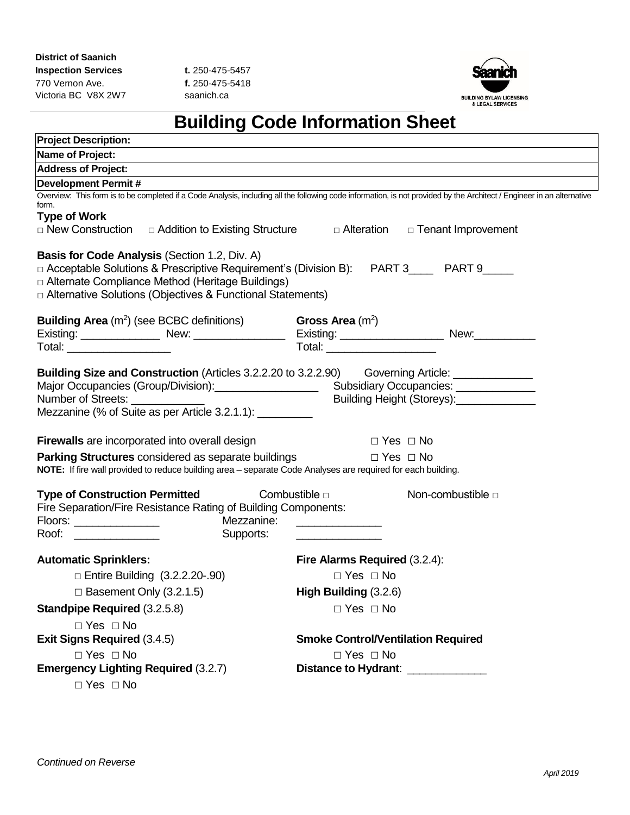Victoria BC V8X 2W7 saanich.ca



# **Building Code Information Sheet**

| <b>Project Description:</b>                                                                                                                                                                                                                                                                    |                                                                                                                                                                                                                |
|------------------------------------------------------------------------------------------------------------------------------------------------------------------------------------------------------------------------------------------------------------------------------------------------|----------------------------------------------------------------------------------------------------------------------------------------------------------------------------------------------------------------|
| Name of Project:                                                                                                                                                                                                                                                                               |                                                                                                                                                                                                                |
| <b>Address of Project:</b>                                                                                                                                                                                                                                                                     |                                                                                                                                                                                                                |
| <b>Development Permit#</b>                                                                                                                                                                                                                                                                     |                                                                                                                                                                                                                |
| form.<br><b>Type of Work</b><br>□ New Construction □ Addition to Existing Structure                                                                                                                                                                                                            | Overview: This form is to be completed if a Code Analysis, including all the following code information, is not provided by the Architect / Engineer in an alternative<br>□ Alteration<br>□ Tenant Improvement |
| <b>Basis for Code Analysis (Section 1.2, Div. A)</b><br>□ Acceptable Solutions & Prescriptive Requirement's (Division B): PART 3_____ PART 9_____<br>□ Alternate Compliance Method (Heritage Buildings)<br>□ Alternative Solutions (Objectives & Functional Statements)                        |                                                                                                                                                                                                                |
| <b>Building Area</b> $(m^2)$ (see BCBC definitions)                                                                                                                                                                                                                                            | Gross Area $(m^2)$                                                                                                                                                                                             |
|                                                                                                                                                                                                                                                                                                |                                                                                                                                                                                                                |
| Total: ______________________                                                                                                                                                                                                                                                                  | Total: _______________________                                                                                                                                                                                 |
| <b>Building Size and Construction</b> (Articles 3.2.2.20 to 3.2.2.90) Governing Article: ________________<br>Major Occupancies (Group/Division): Subsidiary Occupancies: ____________________<br>Number of Streets: ______________<br>Mezzanine (% of Suite as per Article 3.2.1.1): _________ | Building Height (Storeys):_______________                                                                                                                                                                      |
| <b>Firewalls</b> are incorporated into overall design                                                                                                                                                                                                                                          | $\Box$ Yes $\Box$ No                                                                                                                                                                                           |
| <b>Parking Structures</b> considered as separate buildings<br>NOTE: If fire wall provided to reduce building area - separate Code Analyses are required for each building.                                                                                                                     | $\Box$ Yes $\Box$ No                                                                                                                                                                                           |
| <b>Type of Construction Permitted</b><br>Fire Separation/Fire Resistance Rating of Building Components:<br>Supports:                                                                                                                                                                           | Non-combustible □<br>Combustible $\Box$<br>Mezzanine: New York Mezzanine:                                                                                                                                      |
| <b>Automatic Sprinklers:</b>                                                                                                                                                                                                                                                                   | Fire Alarms Required (3.2.4):                                                                                                                                                                                  |
| $\Box$ Entire Building $(3.2.2.20-.90)$                                                                                                                                                                                                                                                        | $\Box$ Yes $\Box$ No                                                                                                                                                                                           |
| $\Box$ Basement Only (3.2.1.5)                                                                                                                                                                                                                                                                 | High Building (3.2.6)                                                                                                                                                                                          |
| <b>Standpipe Required (3.2.5.8)</b>                                                                                                                                                                                                                                                            | $\Box$ Yes $\Box$ No                                                                                                                                                                                           |
| $\Box$ Yes $\Box$ No                                                                                                                                                                                                                                                                           |                                                                                                                                                                                                                |
| <b>Exit Signs Required (3.4.5)</b>                                                                                                                                                                                                                                                             | <b>Smoke Control/Ventilation Required</b>                                                                                                                                                                      |
| $\Box$ Yes $\Box$ No                                                                                                                                                                                                                                                                           | $\Box$ Yes $\Box$ No                                                                                                                                                                                           |
| <b>Emergency Lighting Required (3.2.7)</b>                                                                                                                                                                                                                                                     | Distance to Hydrant: _____________                                                                                                                                                                             |
| $\Box$ Yes $\Box$ No                                                                                                                                                                                                                                                                           |                                                                                                                                                                                                                |